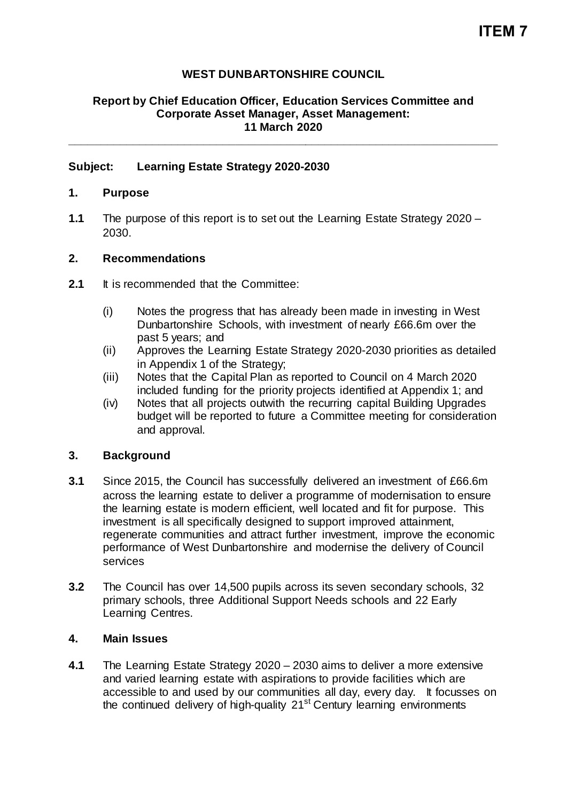# **WEST DUNBARTONSHIRE COUNCIL**

## **Report by Chief Education Officer, Education Services Committee and Corporate Asset Manager, Asset Management: 11 March 2020**

**\_\_\_\_\_\_\_\_\_\_\_\_\_\_\_\_\_\_\_\_\_\_\_\_\_\_\_\_\_\_\_\_\_\_\_\_\_\_\_\_\_\_\_\_\_\_\_\_\_\_\_\_\_\_\_\_\_\_\_\_\_\_\_\_\_\_\_**

### **Subject: Learning Estate Strategy 2020-2030**

### **1. Purpose**

**1.1** The purpose of this report is to set out the Learning Estate Strategy 2020 – 2030.

#### **2. Recommendations**

- 2.1 It is recommended that the Committee:
	- (i) Notes the progress that has already been made in investing in West Dunbartonshire Schools, with investment of nearly £66.6m over the past 5 years; and
	- (ii) Approves the Learning Estate Strategy 2020-2030 priorities as detailed in Appendix 1 of the Strategy;
	- (iii) Notes that the Capital Plan as reported to Council on 4 March 2020 included funding for the priority projects identified at Appendix 1; and
	- (iv) Notes that all projects outwith the recurring capital Building Upgrades budget will be reported to future a Committee meeting for consideration and approval.

#### **3. Background**

- **3.1** Since 2015, the Council has successfully delivered an investment of £66.6m across the learning estate to deliver a programme of modernisation to ensure the learning estate is modern efficient, well located and fit for purpose. This investment is all specifically designed to support improved attainment, regenerate communities and attract further investment, improve the economic performance of West Dunbartonshire and modernise the delivery of Council services
- **3.2** The Council has over 14,500 pupils across its seven secondary schools, 32 primary schools, three Additional Support Needs schools and 22 Early Learning Centres.

#### **4. Main Issues**

**4.1** The Learning Estate Strategy 2020 – 2030 aims to deliver a more extensive and varied learning estate with aspirations to provide facilities which are accessible to and used by our communities all day, every day. It focusses on the continued delivery of high-quality 21<sup>st</sup> Century learning environments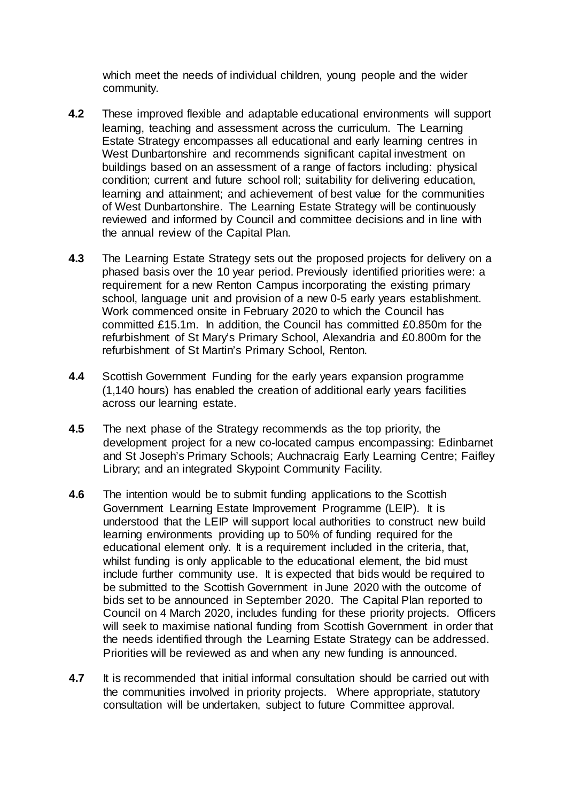which meet the needs of individual children, young people and the wider community.

- **4.2** These improved flexible and adaptable educational environments will support learning, teaching and assessment across the curriculum. The Learning Estate Strategy encompasses all educational and early learning centres in West Dunbartonshire and recommends significant capital investment on buildings based on an assessment of a range of factors including: physical condition; current and future school roll; suitability for delivering education, learning and attainment; and achievement of best value for the communities of West Dunbartonshire. The Learning Estate Strategy will be continuously reviewed and informed by Council and committee decisions and in line with the annual review of the Capital Plan.
- **4.3** The Learning Estate Strategy sets out the proposed projects for delivery on a phased basis over the 10 year period. Previously identified priorities were: a requirement for a new Renton Campus incorporating the existing primary school, language unit and provision of a new 0-5 early years establishment. Work commenced onsite in February 2020 to which the Council has committed £15.1m. In addition, the Council has committed £0.850m for the refurbishment of St Mary's Primary School, Alexandria and £0.800m for the refurbishment of St Martin's Primary School, Renton.
- **4.4** Scottish Government Funding for the early years expansion programme (1,140 hours) has enabled the creation of additional early years facilities across our learning estate.
- **4.5** The next phase of the Strategy recommends as the top priority, the development project for a new co-located campus encompassing: Edinbarnet and St Joseph's Primary Schools; Auchnacraig Early Learning Centre; Faifley Library; and an integrated Skypoint Community Facility.
- **4.6** The intention would be to submit funding applications to the Scottish Government Learning Estate Improvement Programme (LEIP). It is understood that the LEIP will support local authorities to construct new build learning environments providing up to 50% of funding required for the educational element only. It is a requirement included in the criteria, that, whilst funding is only applicable to the educational element, the bid must include further community use. It is expected that bids would be required to be submitted to the Scottish Government in June 2020 with the outcome of bids set to be announced in September 2020. The Capital Plan reported to Council on 4 March 2020, includes funding for these priority projects. Officers will seek to maximise national funding from Scottish Government in order that the needs identified through the Learning Estate Strategy can be addressed. Priorities will be reviewed as and when any new funding is announced.
- **4.7** It is recommended that initial informal consultation should be carried out with the communities involved in priority projects. Where appropriate, statutory consultation will be undertaken, subject to future Committee approval.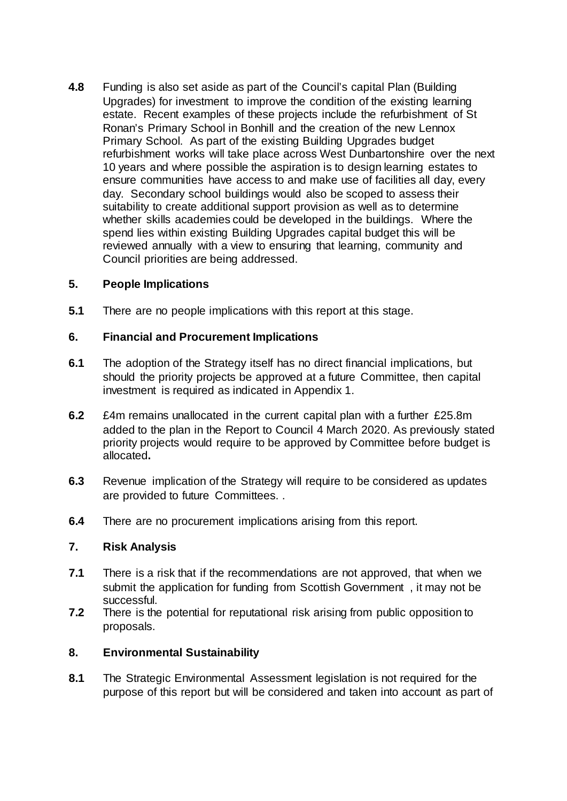**4.8** Funding is also set aside as part of the Council's capital Plan (Building Upgrades) for investment to improve the condition of the existing learning estate. Recent examples of these projects include the refurbishment of St Ronan's Primary School in Bonhill and the creation of the new Lennox Primary School. As part of the existing Building Upgrades budget refurbishment works will take place across West Dunbartonshire over the next 10 years and where possible the aspiration is to design learning estates to ensure communities have access to and make use of facilities all day, every day. Secondary school buildings would also be scoped to assess their suitability to create additional support provision as well as to determine whether skills academies could be developed in the buildings. Where the spend lies within existing Building Upgrades capital budget this will be reviewed annually with a view to ensuring that learning, community and Council priorities are being addressed.

# **5. People Implications**

**5.1** There are no people implications with this report at this stage.

# **6. Financial and Procurement Implications**

- **6.1** The adoption of the Strategy itself has no direct financial implications, but should the priority projects be approved at a future Committee, then capital investment is required as indicated in Appendix 1.
- **6.2** £4m remains unallocated in the current capital plan with a further £25.8m added to the plan in the Report to Council 4 March 2020. As previously stated priority projects would require to be approved by Committee before budget is allocated**.**
- **6.3** Revenue implication of the Strategy will require to be considered as updates are provided to future Committees. .
- **6.4** There are no procurement implications arising from this report.

## **7. Risk Analysis**

- **7.1** There is a risk that if the recommendations are not approved, that when we submit the application for funding from Scottish Government , it may not be successful.
- **7.2** There is the potential for reputational risk arising from public opposition to proposals.

## **8. Environmental Sustainability**

**8.1** The Strategic Environmental Assessment legislation is not required for the purpose of this report but will be considered and taken into account as part of